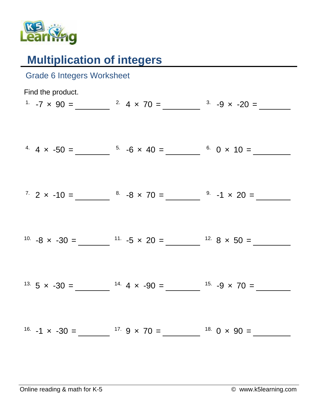

## **Multiplication of integers**

| <b>Grade 6 Integers Worksheet</b> |                                                                                                |  |
|-----------------------------------|------------------------------------------------------------------------------------------------|--|
| Find the product.                 | <sup>1</sup> $-7 \times 90 =$ $2 \times 4 \times 70 =$ $3 \times -9 \times -20 =$              |  |
|                                   |                                                                                                |  |
|                                   | <sup>4</sup> $4 \times -50 =$ $\frac{5}{100}$ $-6 \times 40 =$ $\frac{6}{100}$ $0 \times 10 =$ |  |
|                                   | $7. 2 \times -10 =$ $8. -8 \times 70 =$ $9. -1 \times 20 =$                                    |  |
|                                   |                                                                                                |  |
|                                   | <sup>10.</sup> $-8 \times -30 =$ $\frac{11.5 \times 20}{1} =$ $\frac{12.8 \times 50}{12} =$    |  |
|                                   | <sup>13.</sup> 5 x -30 = $14.4 x - 90 = 15.4$ $-9 x 70 =$                                      |  |
|                                   |                                                                                                |  |
|                                   |                                                                                                |  |